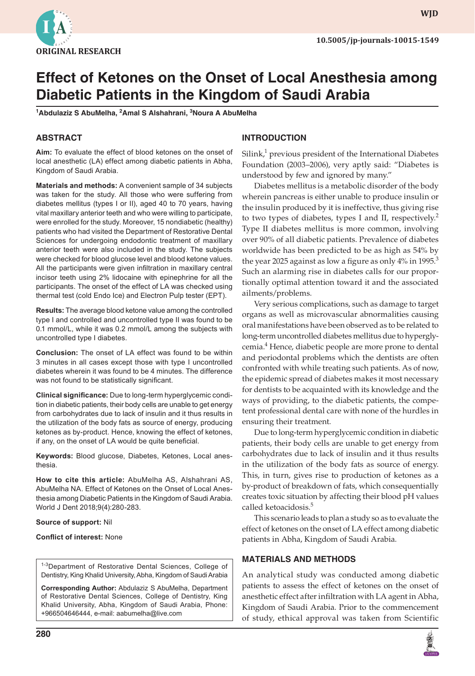

**WJD**

# **Effect of Ketones on the Onset of Local Anesthesia among Diabetic Patients in the Kingdom of Saudi Arabia**

**1 Abdulaziz S AbuMelha, 2 Amal S Alshahrani, 3 Noura A AbuMelha**

# **ABSTRACT**

**Aim:** To evaluate the effect of blood ketones on the onset of local anesthetic (LA) effect among diabetic patients in Abha, Kingdom of Saudi Arabia.

**Materials and methods:** A convenient sample of 34 subjects was taken for the study. All those who were suffering from diabetes mellitus (types I or II), aged 40 to 70 years, having vital maxillary anterior teeth and who were willing to participate, were enrolled for the study. Moreover, 15 nondiabetic (healthy) patients who had visited the Department of Restorative Dental Sciences for undergoing endodontic treatment of maxillary anterior teeth were also included in the study. The subjects were checked for blood glucose level and blood ketone values. All the participants were given infiltration in maxillary central incisor teeth using 2% lidocaine with epinephrine for all the participants. The onset of the effect of LA was checked using thermal test (cold Endo Ice) and Electron Pulp tester (EPT).

**Results:** The average blood ketone value among the controlled type I and controlled and uncontrolled type II was found to be 0.1 mmol/L, while it was 0.2 mmol/L among the subjects with uncontrolled type I diabetes.

**Conclusion:** The onset of LA effect was found to be within 3 minutes in all cases except those with type I uncontrolled diabetes wherein it was found to be 4 minutes. The difference was not found to be statistically significant.

**Clinical significance:** Due to long-term hyperglycemic condition in diabetic patients, their body cells are unable to get energy from carbohydrates due to lack of insulin and it thus results in the utilization of the body fats as source of energy, producing ketones as by-product. Hence, knowing the effect of ketones, if any, on the onset of LA would be quite beneficial.

**Keywords:** Blood glucose, Diabetes, Ketones, Local anesthesia.

**How to cite this article:** AbuMelha AS, Alshahrani AS, AbuMelha NA. Effect of Ketones on the Onset of Local Anesthesia among Diabetic Patients in the Kingdom of Saudi Arabia. World J Dent 2018;9(4):280-283.

#### **Source of support:** Nil

#### **Conflict of interest:** None

1-3Department of Restorative Dental Sciences, College of Dentistry, King Khalid University, Abha, Kingdom of Saudi Arabia

**Corresponding Author:** Abdulaziz S AbuMelha, Department of Restorative Dental Sciences, College of Dentistry, King Khalid University, Abha, Kingdom of Saudi Arabia, Phone: +966504646444, e-mail: aabumelha@live.com

# **INTRODUCTION**

Silink, $1$  previous president of the International Diabetes Foundation (2003–2006), very aptly said: "Diabetes is understood by few and ignored by many."

Diabetes mellitus is a metabolic disorder of the body wherein pancreas is either unable to produce insulin or the insulin produced by it is ineffective, thus giving rise to two types of diabetes, types I and II, respectively.<sup>2</sup> Type II diabetes mellitus is more common, involving over 90% of all diabetic patients. Prevalence of diabetes worldwide has been predicted to be as high as 54% by the year 2025 against as low a figure as only  $4\%$  in 1995.<sup>3</sup> Such an alarming rise in diabetes calls for our proportionally optimal attention toward it and the associated ailments/problems.

Very serious complications, such as damage to target organs as well as microvascular abnormalities causing oral manifestations have been observed as to be related to long-term uncontrolled diabetes mellitus due to hyperglycemia.<sup>4</sup> Hence, diabetic people are more prone to dental and periodontal problems which the dentists are often confronted with while treating such patients. As of now, the epidemic spread of diabetes makes it most necessary for dentists to be acquainted with its knowledge and the ways of providing, to the diabetic patients, the competent professional dental care with none of the hurdles in ensuring their treatment.

Due to long-term hyperglycemic condition in diabetic patients, their body cells are unable to get energy from carbohydrates due to lack of insulin and it thus results in the utilization of the body fats as source of energy. This, in turn, gives rise to production of ketones as a by-product of breakdown of fats, which consequentially creates toxic situation by affecting their blood pH values called ketoacidosis.<sup>5</sup>

This scenario leads to plan a study so as to evaluate the effect of ketones on the onset of LA effect among diabetic patients in Abha, Kingdom of Saudi Arabia.

## **MATERIALS AND METHODS**

An analytical study was conducted among diabetic patients to assess the effect of ketones on the onset of anesthetic effect after infiltration with LA agent in Abha, Kingdom of Saudi Arabia. Prior to the commencement of study, ethical approval was taken from Scientific

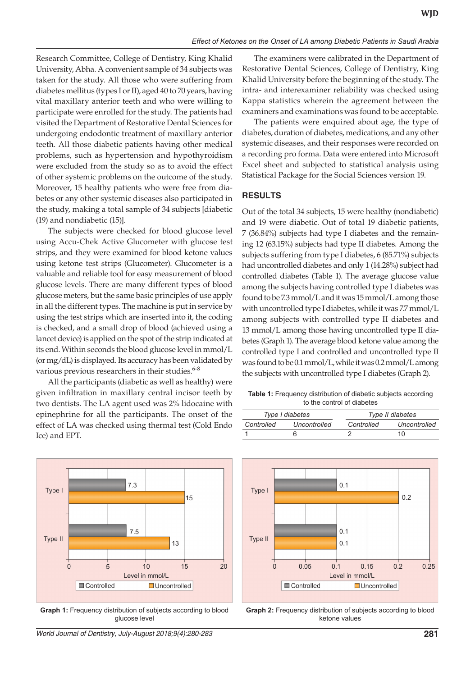Research Committee, College of Dentistry, King Khalid University, Abha. A convenient sample of 34 subjects was taken for the study. All those who were suffering from diabetes mellitus (types I or II), aged 40 to 70 years, having vital maxillary anterior teeth and who were willing to participate were enrolled for the study. The patients had visited the Department of Restorative Dental Sciences for undergoing endodontic treatment of maxillary anterior teeth. All those diabetic patients having other medical problems, such as hypertension and hypothyroidism were excluded from the study so as to avoid the effect of other systemic problems on the outcome of the study. Moreover, 15 healthy patients who were free from diabetes or any other systemic diseases also participated in the study, making a total sample of 34 subjects [diabetic (19) and nondiabetic (15)].

The subjects were checked for blood glucose level using Accu-Chek Active Glucometer with glucose test strips, and they were examined for blood ketone values using ketone test strips (Glucometer). Glucometer is a valuable and reliable tool for easy measurement of blood glucose levels. There are many different types of blood glucose meters, but the same basic principles of use apply in all the different types. The machine is put in service by using the test strips which are inserted into it, the coding is checked, and a small drop of blood (achieved using a lancet device) is applied on the spot of the strip indicated at its end. Within seconds the blood glucose level in mmol/L (or mg/dL) is displayed. Its accuracy has been validated by various previous researchers in their studies.<sup>6-8</sup>

All the participants (diabetic as well as healthy) were given infiltration in maxillary central incisor teeth by two dentists. The LA agent used was 2% lidocaine with epinephrine for all the participants. The onset of the effect of LA was checked using thermal test (Cold Endo Ice) and EPT.



**Graph 1:** Frequency distribution of subjects according to blood glucose level



The examiners were calibrated in the Department of Restorative Dental Sciences, College of Dentistry, King Khalid University before the beginning of the study. The intra- and interexaminer reliability was checked using Kappa statistics wherein the agreement between the examiners and examinations was found to be acceptable.

The patients were enquired about age, the type of diabetes, duration of diabetes, medications, and any other systemic diseases, and their responses were recorded on a recording pro forma. Data were entered into Microsoft Excel sheet and subjected to statistical analysis using Statistical Package for the Social Sciences version 19.

## **RESULTS**

Out of the total 34 subjects, 15 were healthy (nondiabetic) and 19 were diabetic. Out of total 19 diabetic patients, 7 (36.84%) subjects had type I diabetes and the remaining 12 (63.15%) subjects had type II diabetes. Among the subjects suffering from type I diabetes, 6 (85.71%) subjects had uncontrolled diabetes and only 1 (14.28%) subject had controlled diabetes (Table 1). The average glucose value among the subjects having controlled type I diabetes was found to be 7.3 mmol/L and it was 15 mmol/L among those with uncontrolled type I diabetes, while it was 7.7 mmol/L among subjects with controlled type II diabetes and 13 mmol/L among those having uncontrolled type II diabetes (Graph 1). The average blood ketone value among the controlled type I and controlled and uncontrolled type II was found to be 0.1 mmol/L, while it was 0.2 mmol/L among the subjects with uncontrolled type I diabetes (Graph 2).

**Table 1:** Frequency distribution of diabetic subjects according to the control of diabetes

| Type I diabetes |              | Type II diabetes |              |
|-----------------|--------------|------------------|--------------|
| Controlled      | Uncontrolled | Controlled       | Uncontrolled |
|                 |              |                  | 10           |



**Graph 2:** Frequency distribution of subjects according to blood ketone values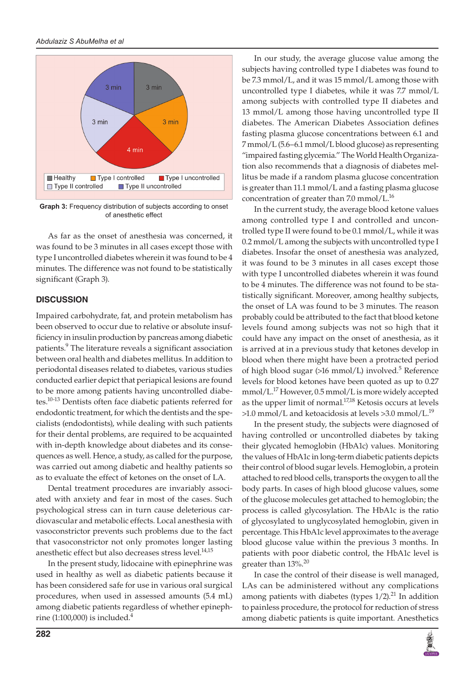

**Graph 3:** Frequency distribution of subjects according to onset of anesthetic effect

As far as the onset of anesthesia was concerned, it was found to be 3 minutes in all cases except those with type I uncontrolled diabetes wherein it was found to be 4 minutes. The difference was not found to be statistically significant (Graph 3).

## **DISCUSSION**

Impaired carbohydrate, fat, and protein metabolism has been observed to occur due to relative or absolute insufficiency in insulin production by pancreas among diabetic patients.<sup>9</sup> The literature reveals a significant association between oral health and diabetes mellitus. In addition to periodontal diseases related to diabetes, various studies conducted earlier depict that periapical lesions are found to be more among patients having uncontrolled diabetes.10-13 Dentists often face diabetic patients referred for endodontic treatment, for which the dentists and the specialists (endodontists), while dealing with such patients for their dental problems, are required to be acquainted with in-depth knowledge about diabetes and its consequences as well. Hence, a study, as called for the purpose, was carried out among diabetic and healthy patients so as to evaluate the effect of ketones on the onset of LA.

Dental treatment procedures are invariably associated with anxiety and fear in most of the cases. Such psychological stress can in turn cause deleterious cardiovascular and metabolic effects. Local anesthesia with vasoconstrictor prevents such problems due to the fact that vasoconstrictor not only promotes longer lasting anesthetic effect but also decreases stress level.<sup>14,15</sup>

In the present study, lidocaine with epinephrine was used in healthy as well as diabetic patients because it has been considered safe for use in various oral surgical procedures, when used in assessed amounts (5.4 mL) among diabetic patients regardless of whether epinephrine (1:100,000) is included. $4$ 

In our study, the average glucose value among the subjects having controlled type I diabetes was found to be 7.3 mmol/L, and it was 15 mmol/L among those with uncontrolled type I diabetes, while it was 7.7 mmol/L among subjects with controlled type II diabetes and 13 mmol/L among those having uncontrolled type II diabetes. The American Diabetes Association defines fasting plasma glucose concentrations between 6.1 and 7 mmol/L (5.6–6.1 mmol/L blood glucose) as representing "impaired fasting glycemia." The World Health Organization also recommends that a diagnosis of diabetes mellitus be made if a random plasma glucose concentration is greater than 11.1 mmol/L and a fasting plasma glucose concentration of greater than 7.0 mmol/L.<sup>16</sup>

In the current study, the average blood ketone values among controlled type I and controlled and uncontrolled type II were found to be 0.1 mmol/L, while it was 0.2 mmol/L among the subjects with uncontrolled type I diabetes. Insofar the onset of anesthesia was analyzed, it was found to be 3 minutes in all cases except those with type I uncontrolled diabetes wherein it was found to be 4 minutes. The difference was not found to be statistically significant. Moreover, among healthy subjects, the onset of LA was found to be 3 minutes. The reason probably could be attributed to the fact that blood ketone levels found among subjects was not so high that it could have any impact on the onset of anesthesia, as it is arrived at in a previous study that ketones develop in blood when there might have been a protracted period of high blood sugar (>16 mmol/L) involved.<sup>5</sup> Reference levels for blood ketones have been quoted as up to 0.27 mmol/L.17 However, 0.5 mmol/L is more widely accepted as the upper limit of normal.<sup>17,18</sup> Ketosis occurs at levels  $>1.0$  mmol/L and ketoacidosis at levels  $>3.0$  mmol/L.<sup>19</sup>

In the present study, the subjects were diagnosed of having controlled or uncontrolled diabetes by taking their glycated hemoglobin (HbA1c) values. Monitoring the values of HbA1c in long-term diabetic patients depicts their control of blood sugar levels. Hemoglobin, a protein attached to red blood cells, transports the oxygen to all the body parts. In cases of high blood glucose values, some of the glucose molecules get attached to hemoglobin; the process is called glycosylation. The HbA1c is the ratio of glycosylated to unglycosylated hemoglobin, given in percentage. This HbA1c level approximates to the average blood glucose value within the previous 3 months. In patients with poor diabetic control, the HbA1c level is greater than 13%.<sup>20</sup>

In case the control of their disease is well managed, LAs can be administered without any complications among patients with diabetes (types  $1/2$ ).<sup>21</sup> In addition to painless procedure, the protocol for reduction of stress among diabetic patients is quite important. Anesthetics